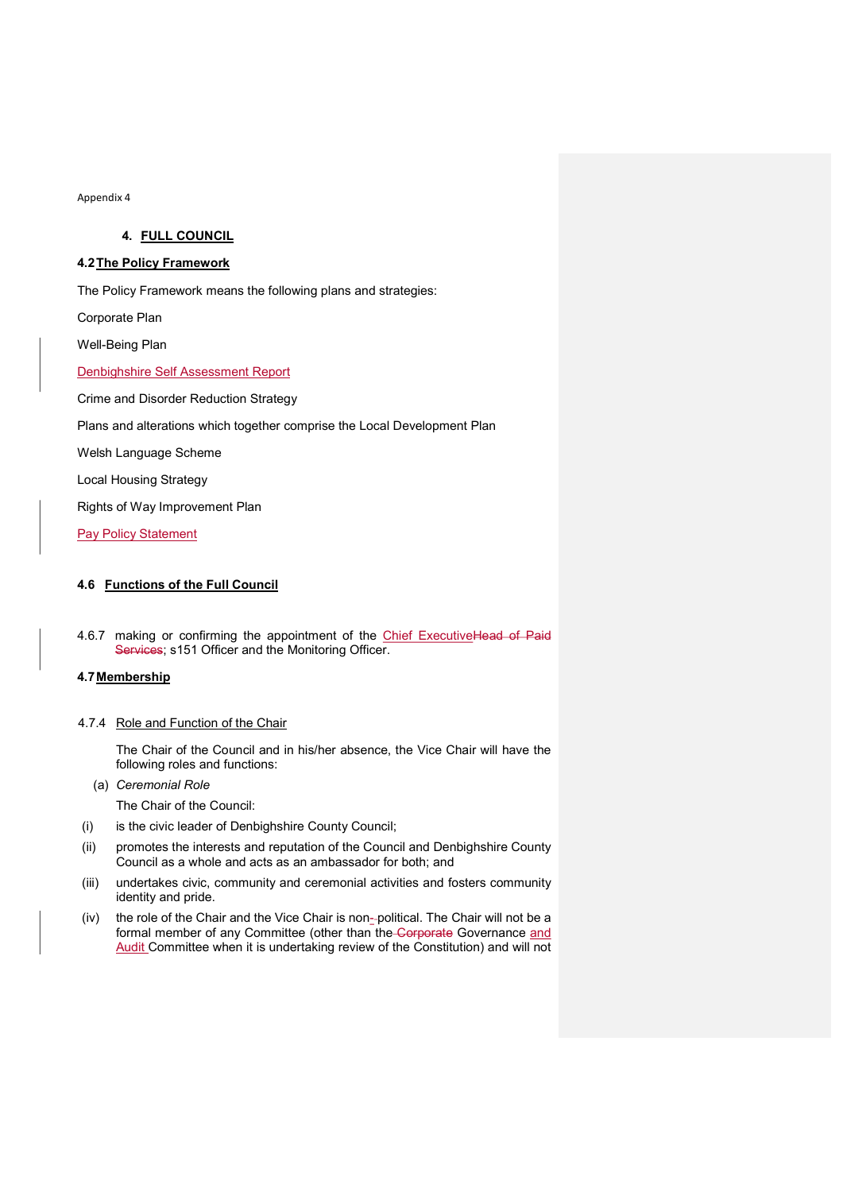# 4. FULL COUNCIL

#### 4.2 The Policy Framework

The Policy Framework means the following plans and strategies:

Corporate Plan

Well-Being Plan

Denbighshire Self Assessment Report

Crime and Disorder Reduction Strategy

Plans and alterations which together comprise the Local Development Plan

Welsh Language Scheme

Local Housing Strategy

Rights of Way Improvement Plan

Pay Policy Statement

## 4.6 Functions of the Full Council

4.6.7 making or confirming the appointment of the Chief ExecutiveHead of Paid Services; s151 Officer and the Monitoring Officer.

# 4.7 Membership

#### 4.7.4 Role and Function of the Chair

The Chair of the Council and in his/her absence, the Vice Chair will have the following roles and functions:

(a) Ceremonial Role

The Chair of the Council:

- (i) is the civic leader of Denbighshire County Council;
- (ii) promotes the interests and reputation of the Council and Denbighshire County Council as a whole and acts as an ambassador for both; and
- (iii) undertakes civic, community and ceremonial activities and fosters community identity and pride.
- (iv) the role of the Chair and the Vice Chair is non- political. The Chair will not be a formal member of any Committee (other than the Corporate Governance and Audit Committee when it is undertaking review of the Constitution) and will not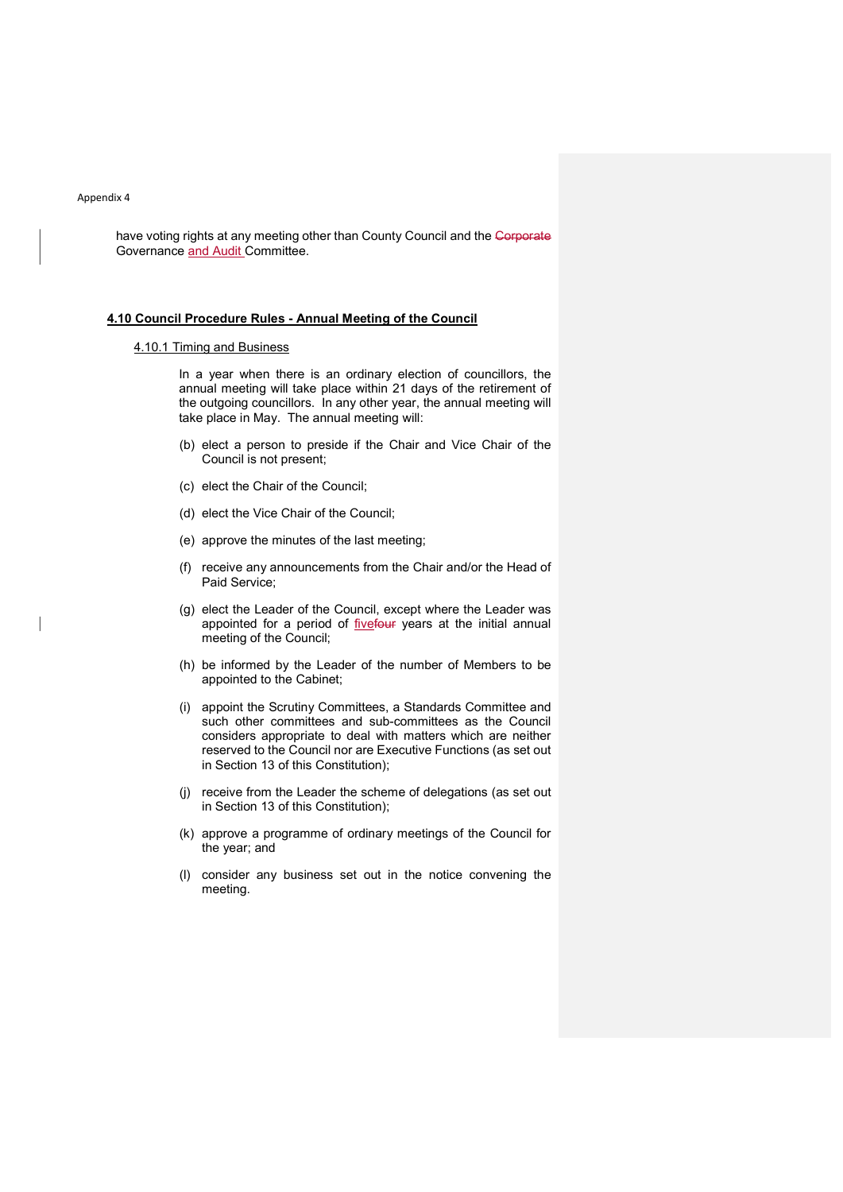have voting rights at any meeting other than County Council and the Corporate Governance and Audit Committee.

#### 4.10 Council Procedure Rules - Annual Meeting of the Council

## 4.10.1 Timing and Business

In a year when there is an ordinary election of councillors, the annual meeting will take place within 21 days of the retirement of the outgoing councillors. In any other year, the annual meeting will take place in May. The annual meeting will:

- (b) elect a person to preside if the Chair and Vice Chair of the Council is not present;
- (c) elect the Chair of the Council;
- (d) elect the Vice Chair of the Council;
- (e) approve the minutes of the last meeting;
- (f) receive any announcements from the Chair and/or the Head of Paid Service;
- (g) elect the Leader of the Council, except where the Leader was appointed for a period of *fivefour* years at the initial annual meeting of the Council;
- (h) be informed by the Leader of the number of Members to be appointed to the Cabinet;
- (i) appoint the Scrutiny Committees, a Standards Committee and such other committees and sub-committees as the Council considers appropriate to deal with matters which are neither reserved to the Council nor are Executive Functions (as set out in Section 13 of this Constitution);
- (j) receive from the Leader the scheme of delegations (as set out in Section 13 of this Constitution);
- (k) approve a programme of ordinary meetings of the Council for the year; and
- (l) consider any business set out in the notice convening the meeting.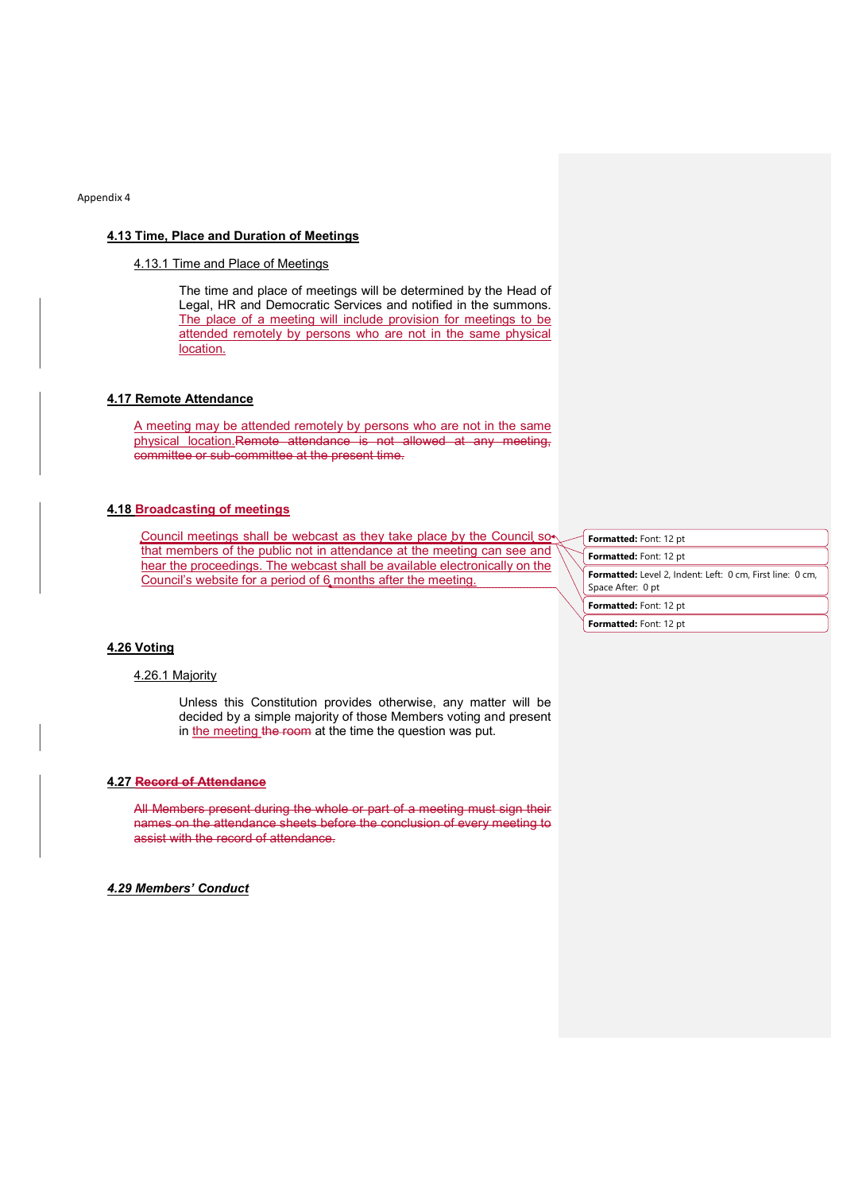#### 4.13 Time, Place and Duration of Meetings

## 4.13.1 Time and Place of Meetings

The time and place of meetings will be determined by the Head of Legal, HR and Democratic Services and notified in the summons. The place of a meeting will include provision for meetings to be attended remotely by persons who are not in the same physical location.

## 4.17 Remote Attendance

A meeting may be attended remotely by persons who are not in the same physical location.Remote attendance is not allowed at any meeting, committee or sub-committee at the present time.

## 4.18 Broadcasting of meetings

Council meetings shall be webcast as they take place by the Council so that members of the public not in attendance at the meeting can see and hear the proceedings. The webcast shall be available electronically on the Council's website for a period of 6 months after the meeting.

| Formatted: Font: 12 pt                                                         |
|--------------------------------------------------------------------------------|
| <b>Formatted: Font: 12 pt</b>                                                  |
| Formatted: Level 2, Indent: Left: 0 cm, First line: 0 cm,<br>Space After: 0 pt |
| Formatted: Font: 12 pt                                                         |
| Formatted: Font: 12 pt                                                         |

#### 4.26 Voting

#### 4.26.1 Majority

Unless this Constitution provides otherwise, any matter will be decided by a simple majority of those Members voting and present in the meeting the room at the time the question was put.

#### 4.27 Record of Attendance

All Members present during the whole or part of a meeting must sign their names on the attendance sheets before the conclusion of every meeting to assist with the record of attendance.

4.29 Members' Conduct